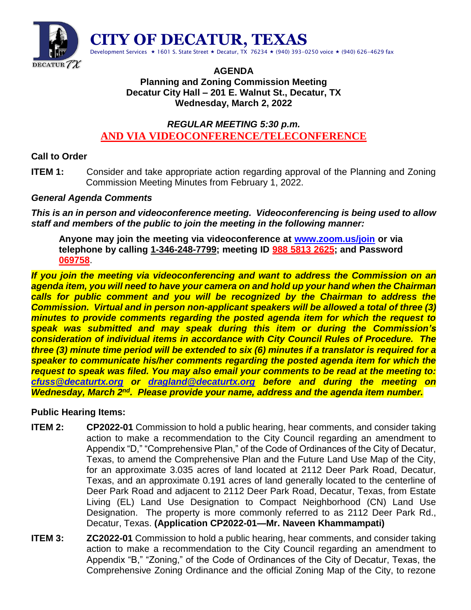

#### **AGENDA Planning and Zoning Commission Meeting Decatur City Hall – 201 E. Walnut St., Decatur, TX Wednesday, March 2, 2022**

# *REGULAR MEETING 5:30 p.m.* **AND VIA VIDEOCONFERENCE/TELECONFERENCE**

# **Call to Order**

**ITEM 1:** Consider and take appropriate action regarding approval of the Planning and Zoning Commission Meeting Minutes from February 1, 2022.

## *General Agenda Comments*

*This is an in person and videoconference meeting. Videoconferencing is being used to allow staff and members of the public to join the meeting in the following manner:*

**Anyone may join the meeting via videoconference at [www.zoom.us/join](http://www.zoom.us/join) or via telephone by calling 1-346-248-7799; meeting ID 988 5813 2625; and Password 069758**.

*If you join the meeting via videoconferencing and want to address the Commission on an agenda item, you will need to have your camera on and hold up your hand when the Chairman calls for public comment and you will be recognized by the Chairman to address the Commission. Virtual and in person non-applicant speakers will be allowed a total of three (3) minutes to provide comments regarding the posted agenda item for which the request to speak was submitted and may speak during this item or during the Commission's consideration of individual items in accordance with City Council Rules of Procedure. The three (3) minute time period will be extended to six (6) minutes if a translator is required for a speaker to communicate his/her comments regarding the posted agenda item for which the request to speak was filed. You may also email your comments to be read at the meeting to: [cfuss@decaturtx.org](mailto:cfuss@decaturtx.org) or [dragland@decaturtx.org](mailto:dragland@decaturtx.org) before and during the meeting on*  **Wednesday, March 2<sup>nd</sup>. Please provide your name, address and the agenda item number.** 

# **Public Hearing Items:**

- **ITEM 2: CP2022-01** Commission to hold a public hearing, hear comments, and consider taking action to make a recommendation to the City Council regarding an amendment to Appendix "D," "Comprehensive Plan," of the Code of Ordinances of the City of Decatur, Texas, to amend the Comprehensive Plan and the Future Land Use Map of the City, for an approximate 3.035 acres of land located at 2112 Deer Park Road, Decatur, Texas, and an approximate 0.191 acres of land generally located to the centerline of Deer Park Road and adjacent to 2112 Deer Park Road, Decatur, Texas, from Estate Living (EL) Land Use Designation to Compact Neighborhood (CN) Land Use Designation. The property is more commonly referred to as 2112 Deer Park Rd., Decatur, Texas. **(Application CP2022-01—Mr. Naveen Khammampati)**
- **ITEM 3: ZC2022-01** Commission to hold a public hearing, hear comments, and consider taking action to make a recommendation to the City Council regarding an amendment to Appendix "B," "Zoning," of the Code of Ordinances of the City of Decatur, Texas, the Comprehensive Zoning Ordinance and the official Zoning Map of the City, to rezone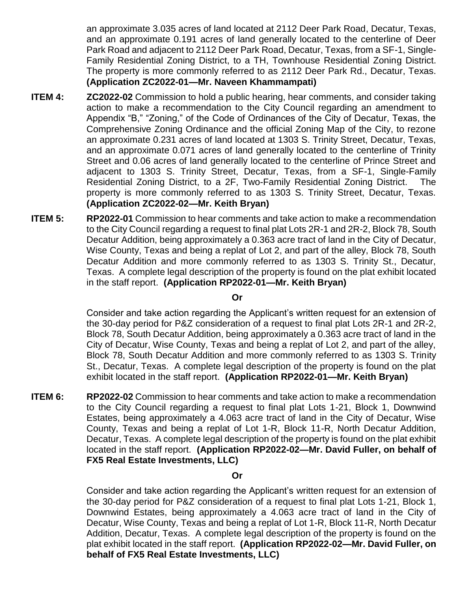an approximate 3.035 acres of land located at 2112 Deer Park Road, Decatur, Texas, and an approximate 0.191 acres of land generally located to the centerline of Deer Park Road and adjacent to 2112 Deer Park Road, Decatur, Texas, from a SF-1, Single-Family Residential Zoning District, to a TH, Townhouse Residential Zoning District. The property is more commonly referred to as 2112 Deer Park Rd., Decatur, Texas. **(Application ZC2022-01—Mr. Naveen Khammampati)**

- **ITEM 4: ZC2022-02** Commission to hold a public hearing, hear comments, and consider taking action to make a recommendation to the City Council regarding an amendment to Appendix "B," "Zoning," of the Code of Ordinances of the City of Decatur, Texas, the Comprehensive Zoning Ordinance and the official Zoning Map of the City, to rezone an approximate 0.231 acres of land located at 1303 S. Trinity Street, Decatur, Texas, and an approximate 0.071 acres of land generally located to the centerline of Trinity Street and 0.06 acres of land generally located to the centerline of Prince Street and adjacent to 1303 S. Trinity Street, Decatur, Texas, from a SF-1, Single-Family Residential Zoning District, to a 2F, Two-Family Residential Zoning District. The property is more commonly referred to as 1303 S. Trinity Street, Decatur, Texas. **(Application ZC2022-02—Mr. Keith Bryan)**
- **ITEM 5: RP2022-01** Commission to hear comments and take action to make a recommendation to the City Council regarding a request to final plat Lots 2R-1 and 2R-2, Block 78, South Decatur Addition, being approximately a 0.363 acre tract of land in the City of Decatur, Wise County, Texas and being a replat of Lot 2, and part of the alley, Block 78, South Decatur Addition and more commonly referred to as 1303 S. Trinity St., Decatur, Texas. A complete legal description of the property is found on the plat exhibit located in the staff report. **(Application RP2022-01—Mr. Keith Bryan)**

#### **Or**

Consider and take action regarding the Applicant's written request for an extension of the 30-day period for P&Z consideration of a request to final plat Lots 2R-1 and 2R-2, Block 78, South Decatur Addition, being approximately a 0.363 acre tract of land in the City of Decatur, Wise County, Texas and being a replat of Lot 2, and part of the alley, Block 78, South Decatur Addition and more commonly referred to as 1303 S. Trinity St., Decatur, Texas. A complete legal description of the property is found on the plat exhibit located in the staff report. **(Application RP2022-01—Mr. Keith Bryan)**

**ITEM 6: RP2022-02** Commission to hear comments and take action to make a recommendation to the City Council regarding a request to final plat Lots 1-21, Block 1, Downwind Estates, being approximately a 4.063 acre tract of land in the City of Decatur, Wise County, Texas and being a replat of Lot 1-R, Block 11-R, North Decatur Addition, Decatur, Texas. A complete legal description of the property is found on the plat exhibit located in the staff report. **(Application RP2022-02—Mr. David Fuller, on behalf of FX5 Real Estate Investments, LLC)**

#### **Or**

Consider and take action regarding the Applicant's written request for an extension of the 30-day period for P&Z consideration of a request to final plat Lots 1-21, Block 1, Downwind Estates, being approximately a 4.063 acre tract of land in the City of Decatur, Wise County, Texas and being a replat of Lot 1-R, Block 11-R, North Decatur Addition, Decatur, Texas. A complete legal description of the property is found on the plat exhibit located in the staff report. **(Application RP2022-02—Mr. David Fuller, on behalf of FX5 Real Estate Investments, LLC)**